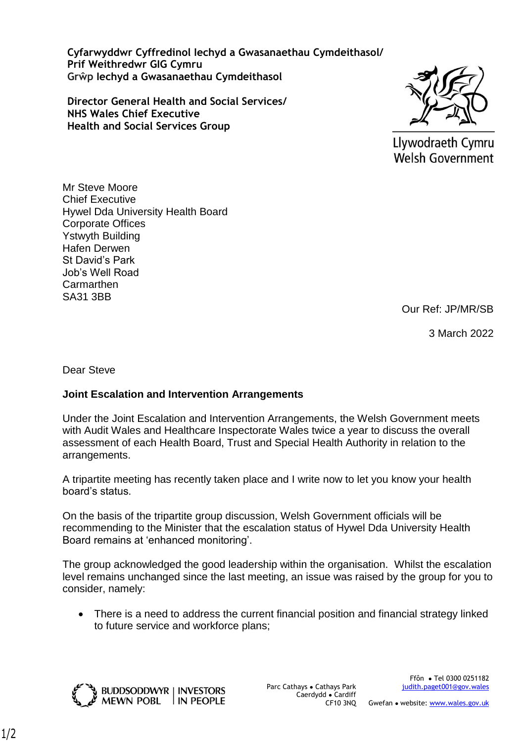**Cyfarwyddwr Cyffredinol Iechyd a Gwasanaethau Cymdeithasol/ Prif Weithredwr GIG Cymru Grŵp Iechyd a Gwasanaethau Cymdeithasol**

**Director General Health and Social Services/ NHS Wales Chief Executive Health and Social Services Group**



Llywodraeth Cymru **Welsh Government** 

Mr Steve Moore Chief Executive Hywel Dda University Health Board Corporate Offices Ystwyth Building Hafen Derwen St David's Park Job's Well Road **Carmarthen** SA31 3BB

Our Ref: JP/MR/SB

3 March 2022

Dear Steve

## **Joint Escalation and Intervention Arrangements**

IN PEOPLE

Under the Joint Escalation and Intervention Arrangements, the Welsh Government meets with Audit Wales and Healthcare Inspectorate Wales twice a year to discuss the overall assessment of each Health Board, Trust and Special Health Authority in relation to the arrangements.

A tripartite meeting has recently taken place and I write now to let you know your health board's status.

On the basis of the tripartite group discussion, Welsh Government officials will be recommending to the Minister that the escalation status of Hywel Dda University Health Board remains at 'enhanced monitoring'.

The group acknowledged the good leadership within the organisation. Whilst the escalation level remains unchanged since the last meeting, an issue was raised by the group for you to consider, namely:

• There is a need to address the current financial position and financial strategy linked to future service and workforce plans;